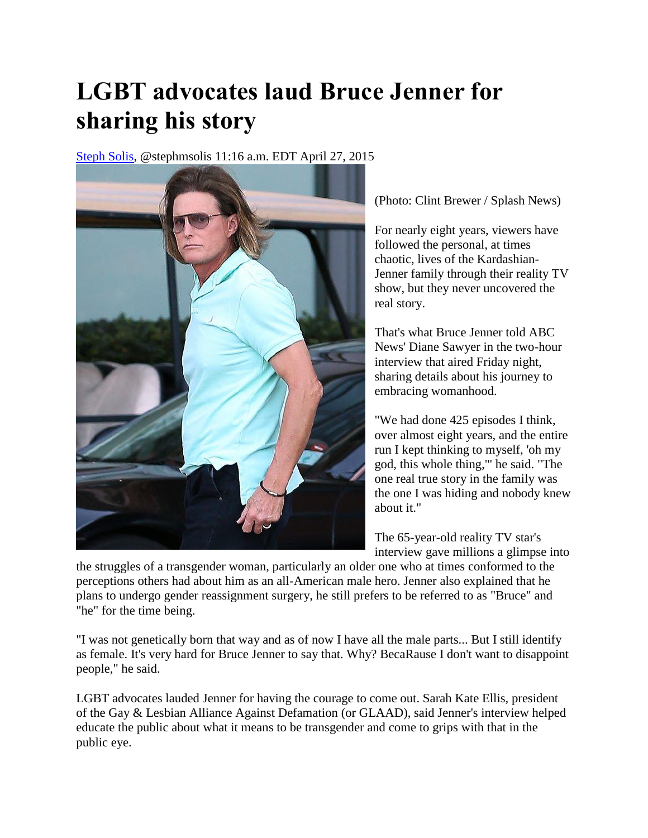## **LGBT advocates laud Bruce Jenner for sharing his story**

[Steph Solis,](http://www.app.com/staff/33135/steph-solis/) @stephmsolis 11:16 a.m. EDT April 27, 2015



(Photo: Clint Brewer / Splash News)

For nearly eight years, viewers have followed the personal, at times chaotic, lives of the Kardashian-Jenner family through their reality TV show, but they never uncovered the real story.

That's what Bruce Jenner told ABC News' Diane Sawyer in the two-hour interview that aired Friday night, sharing details about his journey to embracing womanhood.

"We had done 425 episodes I think, over almost eight years, and the entire run I kept thinking to myself, 'oh my god, this whole thing,'" he said. "The one real true story in the family was the one I was hiding and nobody knew about it."

The 65-year-old reality TV star's interview gave millions a glimpse into

the struggles of a transgender woman, particularly an older one who at times conformed to the perceptions others had about him as an all-American male hero. Jenner also explained that he plans to undergo gender reassignment surgery, he still prefers to be referred to as "Bruce" and "he" for the time being.

"I was not genetically born that way and as of now I have all the male parts... But I still identify as female. It's very hard for Bruce Jenner to say that. Why? BecaRause I don't want to disappoint people," he said.

LGBT advocates lauded Jenner for having the courage to come out. Sarah Kate Ellis, president of the Gay & Lesbian Alliance Against Defamation (or GLAAD), said Jenner's interview helped educate the public about what it means to be transgender and come to grips with that in the public eye.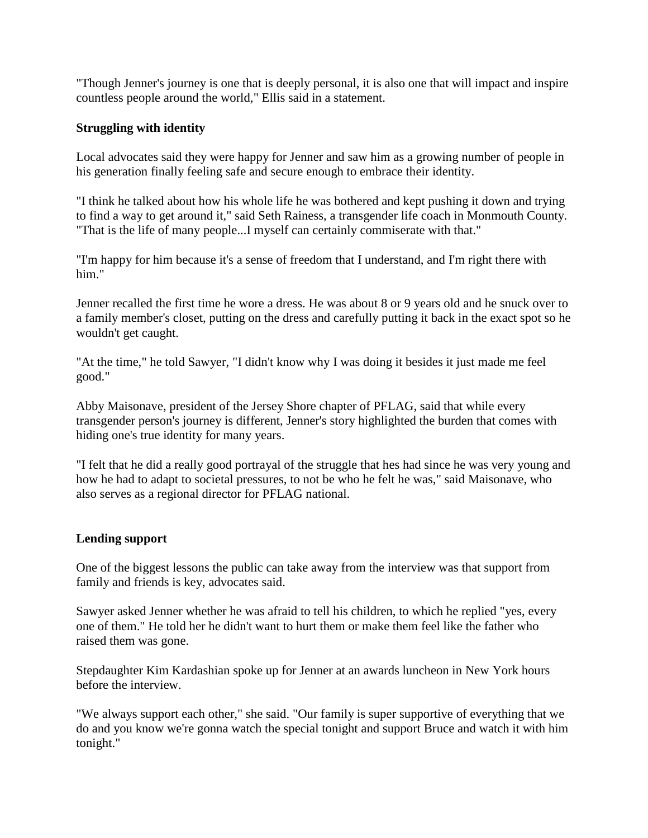"Though Jenner's journey is one that is deeply personal, it is also one that will impact and inspire countless people around the world," Ellis said in a statement.

## **Struggling with identity**

Local advocates said they were happy for Jenner and saw him as a growing number of people in his generation finally feeling safe and secure enough to embrace their identity.

"I think he talked about how his whole life he was bothered and kept pushing it down and trying to find a way to get around it," said Seth Rainess, a transgender life coach in Monmouth County. "That is the life of many people...I myself can certainly commiserate with that."

"I'm happy for him because it's a sense of freedom that I understand, and I'm right there with him."

Jenner recalled the first time he wore a dress. He was about 8 or 9 years old and he snuck over to a family member's closet, putting on the dress and carefully putting it back in the exact spot so he wouldn't get caught.

"At the time," he told Sawyer, "I didn't know why I was doing it besides it just made me feel good."

Abby Maisonave, president of the Jersey Shore chapter of PFLAG, said that while every transgender person's journey is different, Jenner's story highlighted the burden that comes with hiding one's true identity for many years.

"I felt that he did a really good portrayal of the struggle that hes had since he was very young and how he had to adapt to societal pressures, to not be who he felt he was," said Maisonave, who also serves as a regional director for PFLAG national.

## **Lending support**

One of the biggest lessons the public can take away from the interview was that support from family and friends is key, advocates said.

Sawyer asked Jenner whether he was afraid to tell his children, to which he replied "yes, every one of them." He told her he didn't want to hurt them or make them feel like the father who raised them was gone.

Stepdaughter Kim Kardashian spoke up for Jenner at an awards luncheon in New York hours before the interview.

"We always support each other," she said. "Our family is super supportive of everything that we do and you know we're gonna watch the special tonight and support Bruce and watch it with him tonight."